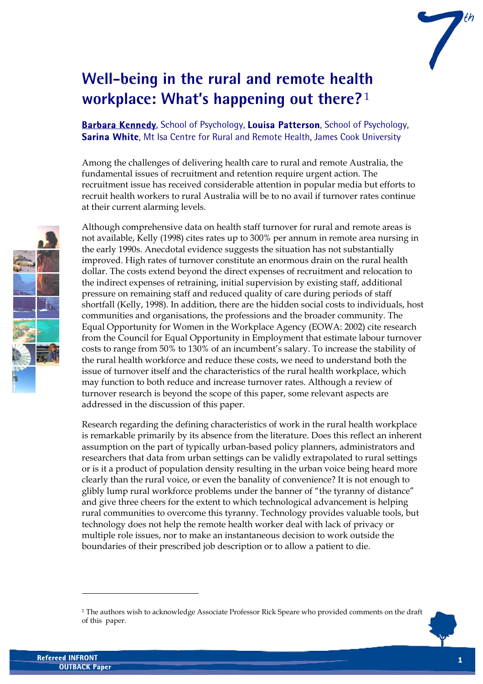

# **Well-being in the rural and remote health workplace: What's happening out there?** [1](#page-0-0)

**Barbara Kennedy**, School of Psychology, **Louisa Patterson**, School of Psychology, **Sarina White**, Mt Isa Centre for Rural and Remote Health, James Cook University

Among the challenges of delivering health care to rural and remote Australia, the fundamental issues of recruitment and retention require urgent action. The recruitment issue has received considerable attention in popular media but efforts to recruit health workers to rural Australia will be to no avail if turnover rates continue at their current alarming levels.

Although comprehensive data on health staff turnover for rural and remote areas is not available, Kelly (1998) cites rates up to 300% per annum in remote area nursing in the early 1990s. Anecdotal evidence suggests the situation has not substantially improved. High rates of turnover constitute an enormous drain on the rural health dollar. The costs extend beyond the direct expenses of recruitment and relocation to the indirect expenses of retraining, initial supervision by existing staff, additional pressure on remaining staff and reduced quality of care during periods of staff shortfall (Kelly, 1998). In addition, there are the hidden social costs to individuals, host communities and organisations, the professions and the broader community. The Equal Opportunity for Women in the Workplace Agency (EOWA: 2002) cite research from the Council for Equal Opportunity in Employment that estimate labour turnover costs to range from 50% to 130% of an incumbent's salary. To increase the stability of the rural health workforce and reduce these costs, we need to understand both the issue of turnover itself and the characteristics of the rural health workplace, which may function to both reduce and increase turnover rates. Although a review of turnover research is beyond the scope of this paper, some relevant aspects are addressed in the discussion of this paper.

Research regarding the defining characteristics of work in the rural health workplace is remarkable primarily by its absence from the literature. Does this reflect an inherent assumption on the part of typically urban-based policy planners, administrators and researchers that data from urban settings can be validly extrapolated to rural settings or is it a product of population density resulting in the urban voice being heard more clearly than the rural voice, or even the banality of convenience? It is not enough to glibly lump rural workforce problems under the banner of "the tyranny of distance" and give three cheers for the extent to which technological advancement is helping rural communities to overcome this tyranny. Technology provides valuable tools, but technology does not help the remote health worker deal with lack of privacy or multiple role issues, nor to make an instantaneous decision to work outside the boundaries of their prescribed job description or to allow a patient to die.



 $\ddot{\phantom{a}}$ 

<span id="page-0-0"></span><sup>1</sup> The authors wish to acknowledge Associate Professor Rick Speare who provided comments on the draft of this paper.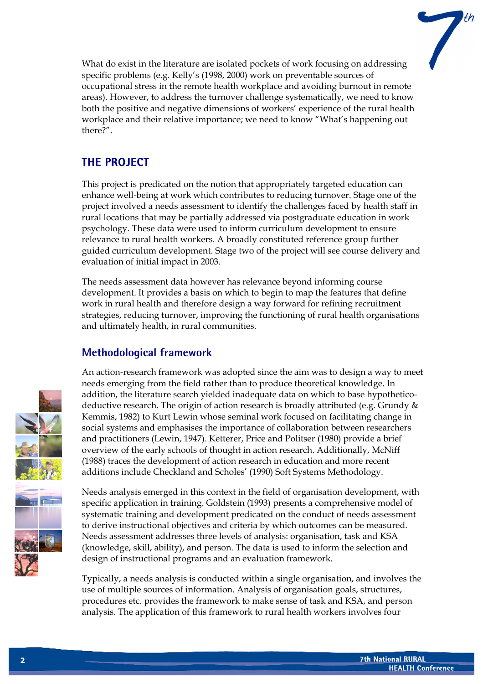What do exist in the literature are isolated pockets of work focusing on addressing specific problems (e.g. Kelly's (1998, 2000) work on preventable sources of occupational stress in the remote health workplace and avoiding burnout in remote areas). However, to address the turnover challenge systematically, we need to know both the positive and negative dimensions of workers' experience of the rural health workplace and their relative importance; we need to know "What's happening out there?".

## **THE PROJECT**

This project is predicated on the notion that appropriately targeted education can enhance well-being at work which contributes to reducing turnover. Stage one of the project involved a needs assessment to identify the challenges faced by health staff in rural locations that may be partially addressed via postgraduate education in work psychology. These data were used to inform curriculum development to ensure relevance to rural health workers. A broadly constituted reference group further guided curriculum development. Stage two of the project will see course delivery and evaluation of initial impact in 2003.

The needs assessment data however has relevance beyond informing course development. It provides a basis on which to begin to map the features that define work in rural health and therefore design a way forward for refining recruitment strategies, reducing turnover, improving the functioning of rural health organisations and ultimately health, in rural communities.

## **Methodological framework**

An action-research framework was adopted since the aim was to design a way to meet needs emerging from the field rather than to produce theoretical knowledge. In addition, the literature search yielded inadequate data on which to base hypotheticodeductive research. The origin of action research is broadly attributed (e.g. Grundy & Kemmis, 1982) to Kurt Lewin whose seminal work focused on facilitating change in social systems and emphasises the importance of collaboration between researchers and practitioners (Lewin, 1947). Ketterer, Price and Politser (1980) provide a brief overview of the early schools of thought in action research. Additionally, McNiff (1988) traces the development of action research in education and more recent additions include Checkland and Scholes' (1990) Soft Systems Methodology.

Needs analysis emerged in this context in the field of organisation development, with specific application in training. Goldstein (1993) presents a comprehensive model of systematic training and development predicated on the conduct of needs assessment to derive instructional objectives and criteria by which outcomes can be measured. Needs assessment addresses three levels of analysis: organisation, task and KSA (knowledge, skill, ability), and person. The data is used to inform the selection and design of instructional programs and an evaluation framework.

Typically, a needs analysis is conducted within a single organisation, and involves the use of multiple sources of information. Analysis of organisation goals, structures, procedures etc. provides the framework to make sense of task and KSA, and person analysis. The application of this framework to rural health workers involves four

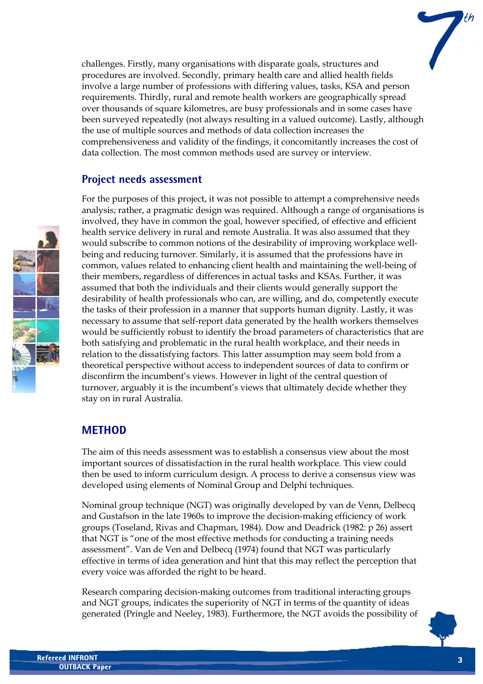challenges. Firstly, many organisations with disparate goals, structures and procedures are involved. Secondly, primary health care and allied health fields involve a large number of professions with differing values, tasks, KSA and person requirements. Thirdly, rural and remote health workers are geographically spread over thousands of square kilometres, are busy professionals and in some cases have been surveyed repeatedly (not always resulting in a valued outcome). Lastly, although the use of multiple sources and methods of data collection increases the comprehensiveness and validity of the findings, it concomitantly increases the cost of data collection. The most common methods used are survey or interview.

### **Project needs assessment**

For the purposes of this project, it was not possible to attempt a comprehensive needs analysis; rather, a pragmatic design was required. Although a range of organisations is involved, they have in common the goal, however specified, of effective and efficient health service delivery in rural and remote Australia. It was also assumed that they would subscribe to common notions of the desirability of improving workplace wellbeing and reducing turnover. Similarly, it is assumed that the professions have in common, values related to enhancing client health and maintaining the well-being of their members, regardless of differences in actual tasks and KSAs. Further, it was assumed that both the individuals and their clients would generally support the desirability of health professionals who can, are willing, and do, competently execute the tasks of their profession in a manner that supports human dignity. Lastly, it was necessary to assume that self-report data generated by the health workers themselves would be sufficiently robust to identify the broad parameters of characteristics that are both satisfying and problematic in the rural health workplace, and their needs in relation to the dissatisfying factors. This latter assumption may seem bold from a theoretical perspective without access to independent sources of data to confirm or disconfirm the incumbent's views. However in light of the central question of turnover, arguably it is the incumbent's views that ultimately decide whether they stay on in rural Australia.

## **METHOD**

The aim of this needs assessment was to establish a consensus view about the most important sources of dissatisfaction in the rural health workplace. This view could then be used to inform curriculum design. A process to derive a consensus view was developed using elements of Nominal Group and Delphi techniques.

Nominal group technique (NGT) was originally developed by van de Venn, Delbecq and Gustafson in the late 1960s to improve the decision-making efficiency of work groups (Toseland, Rivas and Chapman, 1984). Dow and Deadrick (1982: p 26) assert that NGT is "one of the most effective methods for conducting a training needs assessment". Van de Ven and Delbecq (1974) found that NGT was particularly effective in terms of idea generation and hint that this may reflect the perception that every voice was afforded the right to be heard.

Research comparing decision-making outcomes from traditional interacting groups and NGT groups, indicates the superiority of NGT in terms of the quantity of ideas generated (Pringle and Neeley, 1983). Furthermore, the NGT avoids the possibility of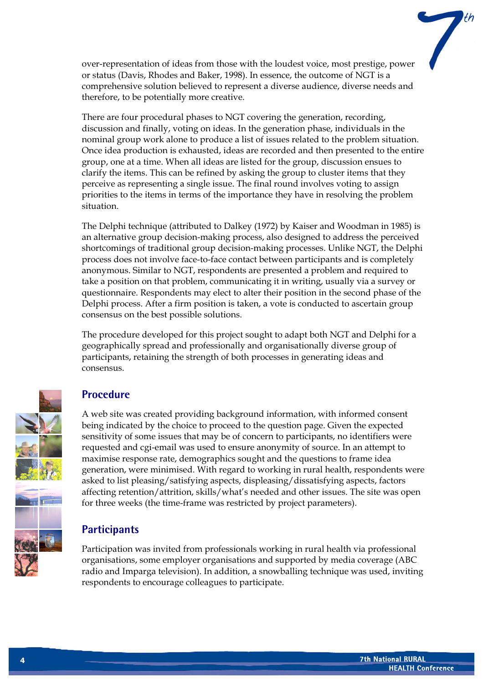over-representation of ideas from those with the loudest voice, most prestige, power or status (Davis, Rhodes and Baker, 1998). In essence, the outcome of NGT is a comprehensive solution believed to represent a diverse audience, diverse needs and therefore, to be potentially more creative.

There are four procedural phases to NGT covering the generation, recording, discussion and finally, voting on ideas. In the generation phase, individuals in the nominal group work alone to produce a list of issues related to the problem situation. Once idea production is exhausted, ideas are recorded and then presented to the entire group, one at a time. When all ideas are listed for the group, discussion ensues to clarify the items. This can be refined by asking the group to cluster items that they perceive as representing a single issue. The final round involves voting to assign priorities to the items in terms of the importance they have in resolving the problem situation.

The Delphi technique (attributed to Dalkey (1972) by Kaiser and Woodman in 1985) is an alternative group decision-making process, also designed to address the perceived shortcomings of traditional group decision-making processes. Unlike NGT, the Delphi process does not involve face-to-face contact between participants and is completely anonymous. Similar to NGT, respondents are presented a problem and required to take a position on that problem, communicating it in writing, usually via a survey or questionnaire. Respondents may elect to alter their position in the second phase of the Delphi process. After a firm position is taken, a vote is conducted to ascertain group consensus on the best possible solutions.

The procedure developed for this project sought to adapt both NGT and Delphi for a geographically spread and professionally and organisationally diverse group of participants, retaining the strength of both processes in generating ideas and consensus.

### **Procedure**

A web site was created providing background information, with informed consent being indicated by the choice to proceed to the question page. Given the expected sensitivity of some issues that may be of concern to participants, no identifiers were requested and cgi-email was used to ensure anonymity of source. In an attempt to maximise response rate, demographics sought and the questions to frame idea generation, were minimised. With regard to working in rural health, respondents were asked to list pleasing/satisfying aspects, displeasing/dissatisfying aspects, factors affecting retention/attrition, skills/what's needed and other issues. The site was open for three weeks (the time-frame was restricted by project parameters).

## **Participants**

Participation was invited from professionals working in rural health via professional organisations, some employer organisations and supported by media coverage (ABC radio and Imparga television). In addition, a snowballing technique was used, inviting respondents to encourage colleagues to participate.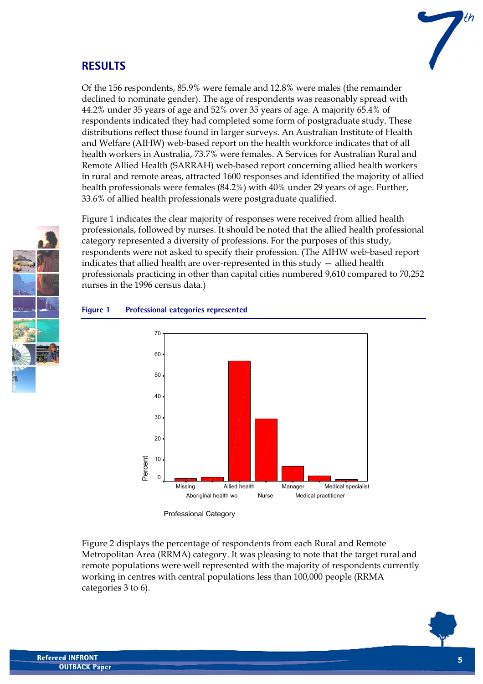## **RESULTS**



Of the 156 respondents, 85.9% were female and 12.8% were males (the remainder declined to nominate gender). The age of respondents was reasonably spread with 44.2% under 35 years of age and 52% over 35 years of age. A majority 65.4% of respondents indicated they had completed some form of postgraduate study. These distributions reflect those found in larger surveys. An Australian Institute of Health and Welfare (AIHW) web-based report on the health workforce indicates that of all health workers in Australia, 73.7% were females. A Services for Australian Rural and Remote Allied Health (SARRAH) web-based report concerning allied health workers in rural and remote areas, attracted 1600 responses and identified the majority of allied health professionals were females (84.2%) with 40% under 29 years of age. Further, 33.6% of allied health professionals were postgraduate qualified.

Figure 1 indicates the clear majority of responses were received from allied health professionals, followed by nurses. It should be noted that the allied health professional category represented a diversity of professions. For the purposes of this study, respondents were not asked to specify their profession. (The AIHW web-based report indicates that allied health are over-represented in this study — allied health professionals practicing in other than capital cities numbered 9,610 compared to 70,252 nurses in the 1996 census data.)

#### Medical specialist Medical practitioner Manager Nurse Allied health Aboriginal health wo Missing Percent 70  $60$ 50 40 30 20 10  $\overline{0}$

#### **Figure 1 Professional categories represented**

Professional Category

Figure 2 displays the percentage of respondents from each Rural and Remote Metropolitan Area (RRMA) category. It was pleasing to note that the target rural and remote populations were well represented with the majority of respondents currently working in centres with central populations less than 100,000 people (RRMA categories 3 to 6).

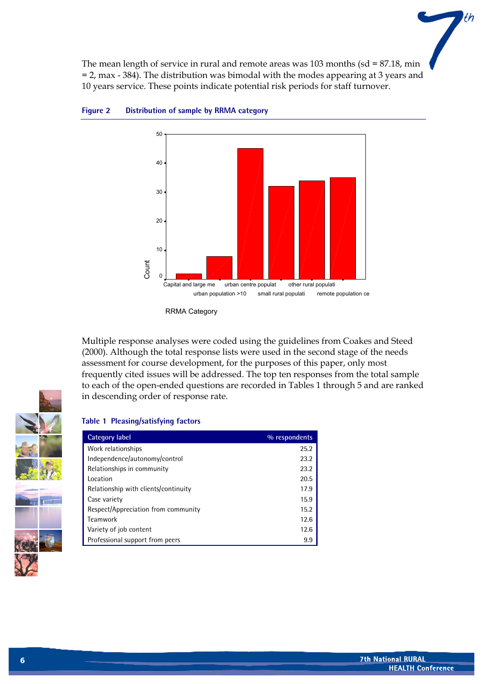The mean length of service in rural and remote areas was  $103$  months (sd = 87.18, min = 2, max - 384). The distribution was bimodal with the modes appearing at 3 years and 10 years service. These points indicate potential risk periods for staff turnover.



#### **Figure 2 Distribution of sample by RRMA category**

Multiple response analyses were coded using the guidelines from Coakes and Steed (2000). Although the total response lists were used in the second stage of the needs assessment for course development, for the purposes of this paper, only most frequently cited issues will be addressed. The top ten responses from the total sample to each of the open-ended questions are recorded in Tables 1 through 5 and are ranked in descending order of response rate.

#### **Table 1 Pleasing/satisfying factors**

| Category label                       | % respondents |
|--------------------------------------|---------------|
| Work relationships                   | 25.2          |
| Independence/autonomy/control        | 23.2          |
| Relationships in community           | 23.2          |
| Location                             | 20.5          |
| Relationship with clients/continuity | 17.9          |
| Case variety                         | 15.9          |
| Respect/Appreciation from community  | 15.2          |
| Teamwork                             | 12.6          |
| Variety of job content               | 12.6          |
| Professional support from peers      | 9.9           |



th

RRMA Category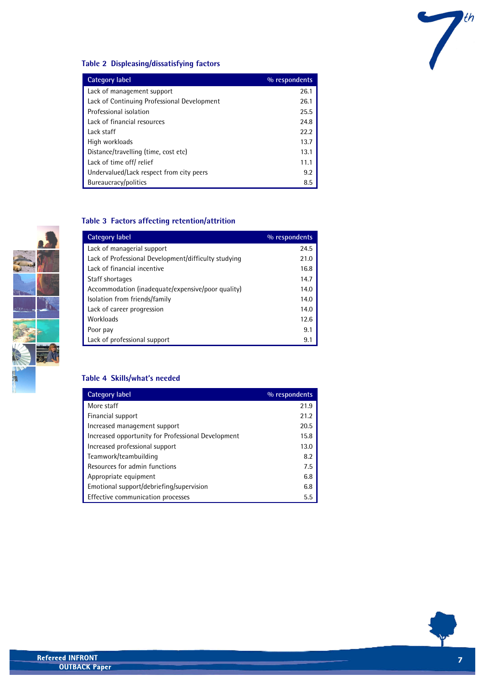

#### **Table 2 Displeasing/dissatisfying factors**

| Category label                              | % respondents |
|---------------------------------------------|---------------|
| Lack of management support                  | 26.1          |
| Lack of Continuing Professional Development | 26.1          |
| Professional isolation                      | 25.5          |
| Lack of financial resources                 | 24.8          |
| Lack staff                                  | 22.2          |
| High workloads                              | 13.7          |
| Distance/travelling (time, cost etc)        | 13.1          |
| Lack of time off/ relief                    | 11.1          |
| Undervalued/Lack respect from city peers    | 9.2           |
| Bureaucracy/politics                        | 8.5           |

#### **Table 3 Factors affecting retention/attrition**

| Category label                                       | % respondents |
|------------------------------------------------------|---------------|
| Lack of managerial support                           | 24.5          |
| Lack of Professional Development/difficulty studying | 21.0          |
| Lack of financial incentive                          | 16.8          |
| Staff shortages                                      | 14.7          |
| Accommodation (inadequate/expensive/poor quality)    | 14.0          |
| Isolation from friends/family                        | 14.0          |
| Lack of career progression                           | 14.0          |
| Workloads                                            | 12.6          |
| Poor pay                                             | 9.1           |
| Lack of professional support                         | 9.            |

#### **Table 4 Skills/what's needed**

| Category label                                     | % respondents |
|----------------------------------------------------|---------------|
| More staff                                         | 21.9          |
| Financial support                                  | 21.2          |
| Increased management support                       | 20.5          |
| Increased opportunity for Professional Development | 15.8          |
| Increased professional support                     | 13.0          |
| Teamwork/teambuilding                              | 8.2           |
| Resources for admin functions                      | 7.5           |
| Appropriate equipment                              | 6.8           |
| Emotional support/debriefing/supervision           | 6.8           |
| Effective communication processes                  | 5.5           |



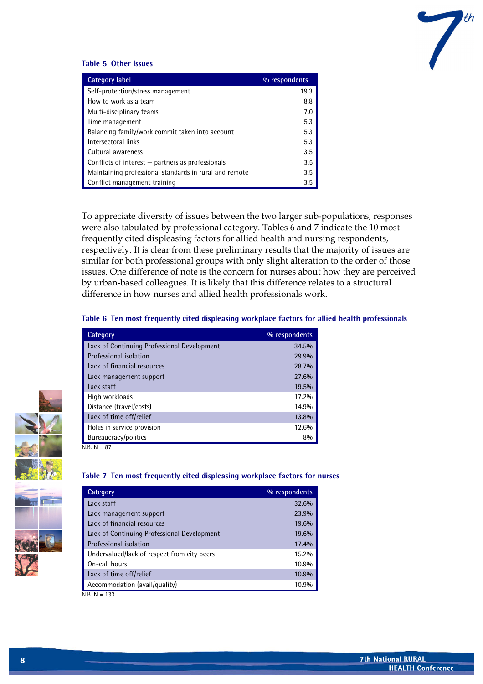

#### **Table 5 Other Issues**

| Category label                                         | % respondents |
|--------------------------------------------------------|---------------|
| Self-protection/stress management                      | 19.3          |
| How to work as a team                                  | 8.8           |
| Multi-disciplinary teams                               | 7.0           |
| Time management                                        | 5.3           |
| Balancing family/work commit taken into account        | 5.3           |
| Intersectoral links                                    | 5.3           |
| Cultural awareness                                     | 3.5           |
| Conflicts of interest - partners as professionals      | 3.5           |
| Maintaining professional standards in rural and remote | 3.5           |
| Conflict management training                           | 3.5           |

To appreciate diversity of issues between the two larger sub-populations, responses were also tabulated by professional category. Tables 6 and 7 indicate the 10 most frequently cited displeasing factors for allied health and nursing respondents, respectively. It is clear from these preliminary results that the majority of issues are similar for both professional groups with only slight alteration to the order of those issues. One difference of note is the concern for nurses about how they are perceived by urban-based colleagues. It is likely that this difference relates to a structural difference in how nurses and allied health professionals work.

#### **Table 6 Ten most frequently cited displeasing workplace factors for allied health professionals**

| Category                                    | % respondents |
|---------------------------------------------|---------------|
| Lack of Continuing Professional Development | 34.5%         |
| Professional isolation                      | 29.9%         |
| Lack of financial resources                 | 28.7%         |
| Lack management support                     | 27.6%         |
| Lack staff                                  | 19.5%         |
| High workloads                              | 17.2%         |
| Distance (travel/costs)                     | 14.9%         |
| Lack of time off/relief                     | 13.8%         |
| Holes in service provision                  | 12.6%         |
| Bureaucracy/politics                        | 8%            |
| $N.R. N = 87$                               |               |



#### **Table 7 Ten most frequently cited displeasing workplace factors for nurses**

| <b>Category</b>                             | % respondents |
|---------------------------------------------|---------------|
| Lack staff                                  | 32.6%         |
| Lack management support                     | 23.9%         |
| Lack of financial resources                 | 19.6%         |
| Lack of Continuing Professional Development | 19.6%         |
| Professional isolation                      | 17.4%         |
| Undervalued/lack of respect from city peers | 15.2%         |
| On-call hours                               | 10.9%         |
| Lack of time off/relief                     | 10.9%         |
| Accommodation (avail/quality)               | 10.9%         |

 $N.B. N = 133$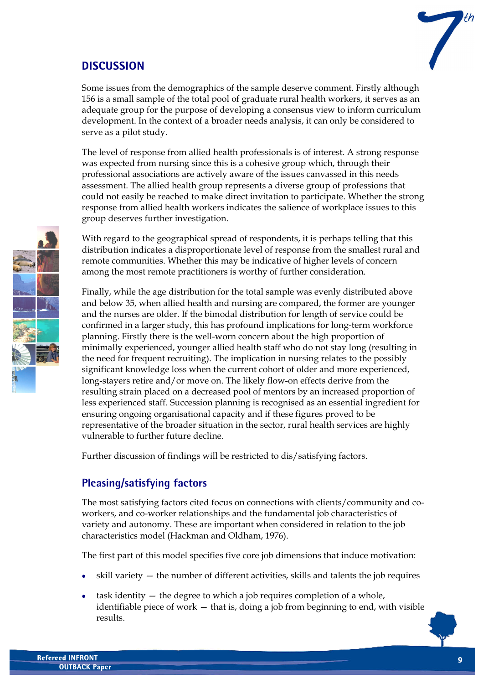## **DISCUSSION**



Some issues from the demographics of the sample deserve comment. Firstly although 156 is a small sample of the total pool of graduate rural health workers, it serves as an adequate group for the purpose of developing a consensus view to inform curriculum development. In the context of a broader needs analysis, it can only be considered to serve as a pilot study.

The level of response from allied health professionals is of interest. A strong response was expected from nursing since this is a cohesive group which, through their professional associations are actively aware of the issues canvassed in this needs assessment. The allied health group represents a diverse group of professions that could not easily be reached to make direct invitation to participate. Whether the strong response from allied health workers indicates the salience of workplace issues to this group deserves further investigation.

With regard to the geographical spread of respondents, it is perhaps telling that this distribution indicates a disproportionate level of response from the smallest rural and remote communities. Whether this may be indicative of higher levels of concern among the most remote practitioners is worthy of further consideration.

Finally, while the age distribution for the total sample was evenly distributed above and below 35, when allied health and nursing are compared, the former are younger and the nurses are older. If the bimodal distribution for length of service could be confirmed in a larger study, this has profound implications for long-term workforce planning. Firstly there is the well-worn concern about the high proportion of minimally experienced, younger allied health staff who do not stay long (resulting in the need for frequent recruiting). The implication in nursing relates to the possibly significant knowledge loss when the current cohort of older and more experienced, long-stayers retire and/or move on. The likely flow-on effects derive from the resulting strain placed on a decreased pool of mentors by an increased proportion of less experienced staff. Succession planning is recognised as an essential ingredient for ensuring ongoing organisational capacity and if these figures proved to be representative of the broader situation in the sector, rural health services are highly vulnerable to further future decline.

Further discussion of findings will be restricted to dis/satisfying factors.

## **Pleasing/satisfying factors**

The most satisfying factors cited focus on connections with clients/community and coworkers, and co-worker relationships and the fundamental job characteristics of variety and autonomy. These are important when considered in relation to the job characteristics model (Hackman and Oldham, 1976).

The first part of this model specifies five core job dimensions that induce motivation:

- skill variety the number of different activities, skills and talents the job requires
- task identity the degree to which a job requires completion of a whole, identifiable piece of work — that is, doing a job from beginning to end, with visible results.

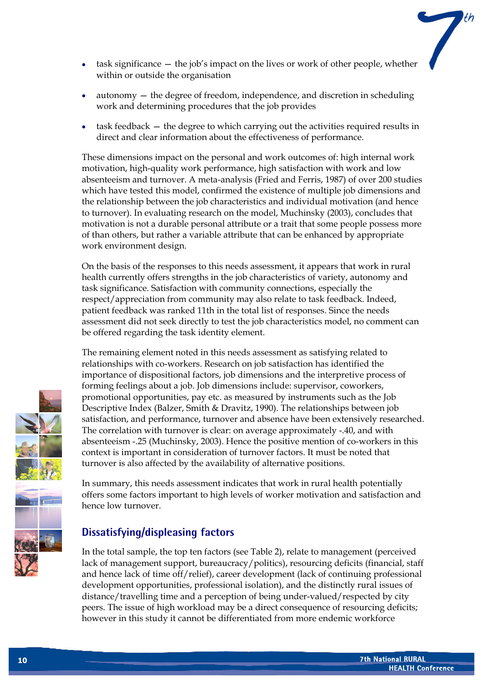

- task significance the job's impact on the lives or work of other people, whether within or outside the organisation
- autonomy  $-$  the degree of freedom, independence, and discretion in scheduling work and determining procedures that the job provides
- task feedback the degree to which carrying out the activities required results in direct and clear information about the effectiveness of performance.

These dimensions impact on the personal and work outcomes of: high internal work motivation, high-quality work performance, high satisfaction with work and low absenteeism and turnover. A meta-analysis (Fried and Ferris, 1987) of over 200 studies which have tested this model, confirmed the existence of multiple job dimensions and the relationship between the job characteristics and individual motivation (and hence to turnover). In evaluating research on the model, Muchinsky (2003), concludes that motivation is not a durable personal attribute or a trait that some people possess more of than others, but rather a variable attribute that can be enhanced by appropriate work environment design.

On the basis of the responses to this needs assessment, it appears that work in rural health currently offers strengths in the job characteristics of variety, autonomy and task significance. Satisfaction with community connections, especially the respect/appreciation from community may also relate to task feedback. Indeed, patient feedback was ranked 11th in the total list of responses. Since the needs assessment did not seek directly to test the job characteristics model, no comment can be offered regarding the task identity element.

The remaining element noted in this needs assessment as satisfying related to relationships with co-workers. Research on job satisfaction has identified the importance of dispositional factors, job dimensions and the interpretive process of forming feelings about a job. Job dimensions include: supervisor, coworkers, promotional opportunities, pay etc. as measured by instruments such as the Job Descriptive Index (Balzer, Smith & Dravitz, 1990). The relationships between job satisfaction, and performance, turnover and absence have been extensively researched. The correlation with turnover is clear: on average approximately -.40, and with absenteeism -.25 (Muchinsky, 2003). Hence the positive mention of co-workers in this context is important in consideration of turnover factors. It must be noted that turnover is also affected by the availability of alternative positions.

In summary, this needs assessment indicates that work in rural health potentially offers some factors important to high levels of worker motivation and satisfaction and hence low turnover.

## **Dissatisfying/displeasing factors**

In the total sample, the top ten factors (see Table 2), relate to management (perceived lack of management support, bureaucracy/politics), resourcing deficits (financial, staff and hence lack of time off/relief), career development (lack of continuing professional development opportunities, professional isolation), and the distinctly rural issues of distance/travelling time and a perception of being under-valued/respected by city peers. The issue of high workload may be a direct consequence of resourcing deficits; however in this study it cannot be differentiated from more endemic workforce

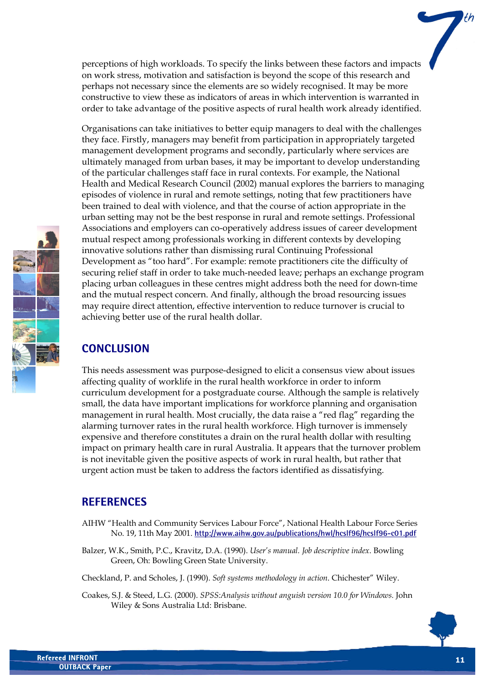perceptions of high workloads. To specify the links between these factors and impacts on work stress, motivation and satisfaction is beyond the scope of this research and perhaps not necessary since the elements are so widely recognised. It may be more constructive to view these as indicators of areas in which intervention is warranted in order to take advantage of the positive aspects of rural health work already identified.

Organisations can take initiatives to better equip managers to deal with the challenges they face. Firstly, managers may benefit from participation in appropriately targeted management development programs and secondly, particularly where services are ultimately managed from urban bases, it may be important to develop understanding of the particular challenges staff face in rural contexts. For example, the National Health and Medical Research Council (2002) manual explores the barriers to managing episodes of violence in rural and remote settings, noting that few practitioners have been trained to deal with violence, and that the course of action appropriate in the urban setting may not be the best response in rural and remote settings. Professional Associations and employers can co-operatively address issues of career development mutual respect among professionals working in different contexts by developing innovative solutions rather than dismissing rural Continuing Professional Development as "too hard". For example: remote practitioners cite the difficulty of securing relief staff in order to take much-needed leave; perhaps an exchange program placing urban colleagues in these centres might address both the need for down-time and the mutual respect concern. And finally, although the broad resourcing issues may require direct attention, effective intervention to reduce turnover is crucial to achieving better use of the rural health dollar.

### **CONCLUSION**

This needs assessment was purpose-designed to elicit a consensus view about issues affecting quality of worklife in the rural health workforce in order to inform curriculum development for a postgraduate course. Although the sample is relatively small, the data have important implications for workforce planning and organisation management in rural health. Most crucially, the data raise a "red flag" regarding the alarming turnover rates in the rural health workforce. High turnover is immensely expensive and therefore constitutes a drain on the rural health dollar with resulting impact on primary health care in rural Australia. It appears that the turnover problem is not inevitable given the positive aspects of work in rural health, but rather that urgent action must be taken to address the factors identified as dissatisfying.

## **REFERENCES**

- AIHW "Health and Community Services Labour Force", National Health Labour Force Series No. 19, 11th May 2001. **<http://www.aihw.gov.au/publications/hwl/hcslf96/hcslf96-c01.pdf>**
- Balzer, W.K., Smith, P.C., Kravitz, D.A. (1990). *User's manual. Job descriptive index*. Bowling Green, Oh: Bowling Green State University.
- Checkland, P. and Scholes, J. (1990). *Soft systems methodology in action*. Chichester" Wiley.
- Coakes, S.J. & Steed, L.G. (2000). *SPSS:Analysis without anguish version 10.0 for Windows.* John Wiley & Sons Australia Ltd: Brisbane.

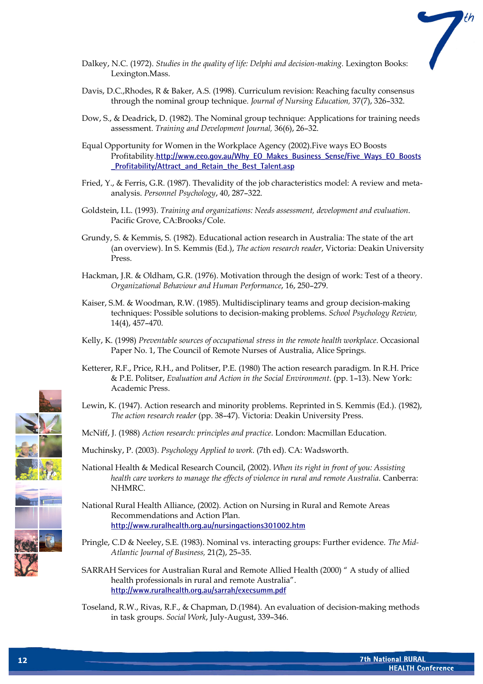

- Dalkey, N.C. (1972). *Studies in the quality of life: Delphi and decision-making.* Lexington Books: Lexington.Mass.
- Davis, D.C.,Rhodes, R & Baker, A.S. (1998). Curriculum revision: Reaching faculty consensus through the nominal group technique. *Journal of Nursing Education,* 37(7), 326–332.
- Dow, S., & Deadrick, D. (1982). The Nominal group technique: Applications for training needs assessment. *Training and Development Journal,* 36(6), 26–32.
- Equal Opportunity for Women in the Workplace Agency (2002).Five ways EO Boosts Profitability.**[http://www.eeo.gov.au/Why\\_EO\\_Makes\\_Business\\_Sense/Five\\_Ways\\_EO\\_Boosts](http://www.eeo.gov.au/Why_EO_Makes_Business_Sense/Five_Ways_EO_Boosts_Profitability/Attract_and_Retain_the_Best_Talent.asp) [\\_Profitability/Attract\\_and\\_Retain\\_the\\_Best\\_Talent.asp](http://www.eeo.gov.au/Why_EO_Makes_Business_Sense/Five_Ways_EO_Boosts_Profitability/Attract_and_Retain_the_Best_Talent.asp)**
- Fried, Y., & Ferris, G.R. (1987). Thevalidity of the job characteristics model: A review and metaanalysis. *Personnel Psychology*, 40, 287–322.
- Goldstein, I.L. (1993). *Training and organizations: Needs assessment, development and evaluation*. Pacific Grove, CA:Brooks/Cole.
- Grundy, S. & Kemmis, S. (1982). Educational action research in Australia: The state of the art (an overview). In S. Kemmis (Ed.), *The action research reader*, Victoria: Deakin University Press.
- Hackman, J.R. & Oldham, G.R. (1976). Motivation through the design of work: Test of a theory. *Organizational Behaviour and Human Performance*, 16, 250–279.
- Kaiser, S.M. & Woodman, R.W. (1985). Multidisciplinary teams and group decision-making techniques: Possible solutions to decision-making problems. *School Psychology Review,* 14(4), 457–470.
- Kelly, K. (1998) *Preventable sources of occupational stress in the remote health workplace*. Occasional Paper No. 1, The Council of Remote Nurses of Australia, Alice Springs.
- Ketterer, R.F., Price, R.H., and Politser, P.E. (1980) The action research paradigm. In R.H. Price & P.E. Politser, *Evaluation and Action in the Social Environment*. (pp. 1–13). New York: Academic Press.
- Lewin, K. (1947). Action research and minority problems. Reprinted in S. Kemmis (Ed.). (1982), *The action research reader* (pp. 38–47). Victoria: Deakin University Press.
- McNiff, J. (1988) *Action research: principles and practice*. London: Macmillan Education.
- Muchinsky, P. (2003). *Psychology Applied to work*. (7th ed). CA: Wadsworth.
- National Health & Medical Research Council, (2002). *When its right in front of you: Assisting health care workers to manage the effects of violence in rural and remote Australia*. Canberra: NHMRC.
- National Rural Health Alliance, (2002). Action on Nursing in Rural and Remote Areas Recommendations and Action Plan. **<http://www.ruralhealth.org.au/nursingactions301002.htm>**
- Pringle, C.D & Neeley, S.E. (1983). Nominal vs. interacting groups: Further evidence. *The Mid-Atlantic Journal of Business,* 21(2), 25–35.
- SARRAH Services for Australian Rural and Remote Allied Health (2000) " A study of allied health professionals in rural and remote Australia". **<http://www.ruralhealth.org.au/sarrah/execsumm.pdf>**
- Toseland, R.W., Rivas, R.F., & Chapman, D.(1984). An evaluation of decision-making methods in task groups. *Social Work*, July-August, 339–346.